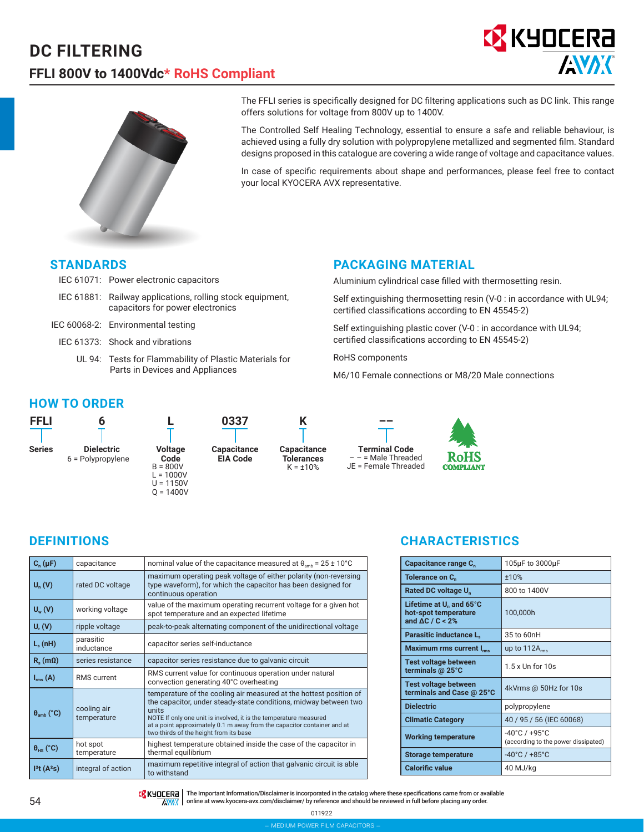



The FFLI series is specifically designed for DC filtering applications such as DC link. This range offers solutions for voltage from 800V up to 1400V.

The Controlled Self Healing Technology, essential to ensure a safe and reliable behaviour, is achieved using a fully dry solution with polypropylene metallized and segmented film. Standard designs proposed in this catalogue are covering a wide range of voltage and capacitance values.

In case of specific requirements about shape and performances, please feel free to contact your local KYOCERA AVX representative.

#### **STANDARDS**

- IEC 61071: Power electronic capacitors
- IEC 61881: Railway applications, rolling stock equipment, capacitors for power electronics
- IEC 60068-2: Environmental testing
	- IEC 61373: Shock and vibrations
		- UL 94: Tests for Flammability of Plastic Materials for Parts in Devices and Appliances

#### **PACKAGING MATERIAL**

Aluminium cylindrical case filled with thermosetting resin.

Self extinguishing thermosetting resin (V-0 : in accordance with UL94; certified classifications according to EN 45545-2)

Self extinguishing plastic cover (V-0 : in accordance with UL94; certified classifications according to EN 45545-2)

RoHS components

M6/10 Female connections or M8/20 Male connections

#### **HOW TO ORDER**







**Terminal Code** – – = Male Threaded JE = Female Threaded



| $C_n(\mu F)$                                      | capacitance             | nominal value of the capacitance measured at $\theta_{amb}$ = 25 ± 10°C                                                                                                                                                                                                                                                                   |
|---------------------------------------------------|-------------------------|-------------------------------------------------------------------------------------------------------------------------------------------------------------------------------------------------------------------------------------------------------------------------------------------------------------------------------------------|
| $U_n(V)$                                          | rated DC voltage        | maximum operating peak voltage of either polarity (non-reversing<br>type waveform), for which the capacitor has been designed for<br>continuous operation                                                                                                                                                                                 |
| $U_{w}(V)$                                        | working voltage         | value of the maximum operating recurrent voltage for a given hot<br>spot temperature and an expected lifetime                                                                                                                                                                                                                             |
| $U_r(V)$                                          | ripple voltage          | peak-to-peak alternating component of the unidirectional voltage                                                                                                                                                                                                                                                                          |
| $L_{\rm c}$ (nH)                                  | parasitic<br>inductance | capacitor series self-inductance                                                                                                                                                                                                                                                                                                          |
| $R_s$ (m $\Omega$ )                               | series resistance       | capacitor series resistance due to galvanic circuit                                                                                                                                                                                                                                                                                       |
| $I_{rms}(A)$                                      | <b>RMS</b> current      | RMS current value for continuous operation under natural<br>convection generating 40°C overheating                                                                                                                                                                                                                                        |
| cooling air<br>$\theta_{amb}$ (°C)<br>temperature |                         | temperature of the cooling air measured at the hottest position of<br>the capacitor, under steady-state conditions, midway between two<br>units<br>NOTE If only one unit is involved, it is the temperature measured<br>at a point approximately 0.1 m away from the capacitor container and at<br>two-thirds of the height from its base |
| $\theta_{HS}$ (°C)                                | hot spot<br>temperature | highest temperature obtained inside the case of the capacitor in<br>thermal equilibrium                                                                                                                                                                                                                                                   |
| I <sup>2</sup> t(A <sup>2</sup> s)                | integral of action      | maximum repetitive integral of action that galvanic circuit is able<br>to withstand                                                                                                                                                                                                                                                       |

## **DEFINITIONS CHARACTERISTICS**

| Capacitance range C <sub>n</sub>                                               | 105µF to 3000µF                                                          |
|--------------------------------------------------------------------------------|--------------------------------------------------------------------------|
| Tolerance on C <sub>n</sub>                                                    | ±10%                                                                     |
| Rated DC voltage U.                                                            | 800 to 1400V                                                             |
| Lifetime at $U_n$ and 65°C<br>hot-spot temperature<br>and $\Delta C / C < 2\%$ | 100,000h                                                                 |
| <b>Parasitic inductance L.</b>                                                 | 35 to 60nH                                                               |
| Maximum rms current I <sub>rms</sub>                                           | up to $112A_{rms}$                                                       |
| Test voltage between<br>terminals @ 25°C                                       | $1.5x$ Un for $10s$                                                      |
| <b>Test voltage between</b><br>terminals and Case @ 25°C                       | 4kVrms @ 50Hz for 10s                                                    |
| <b>Dielectric</b>                                                              | polypropylene                                                            |
| <b>Climatic Category</b>                                                       | 40 / 95 / 56 (IEC 60068)                                                 |
| <b>Working temperature</b>                                                     | $-40^{\circ}$ C / $+95^{\circ}$ C<br>(according to the power dissipated) |
| <b>Storage temperature</b>                                                     | $-40^{\circ}$ C / $+85^{\circ}$ C                                        |
| <b>Calorific value</b>                                                         | 40 MJ/kg                                                                 |

TRK HULLERA | The Important Information/Disclaimer is incorporated in the catalog where these specifications came from or available  $\sqrt{N'}/($  online at www.kyocera-avx.com/disclaimer/ by reference and should be reviewed in full before placing any order.

> 011922 – medium power film capacitors –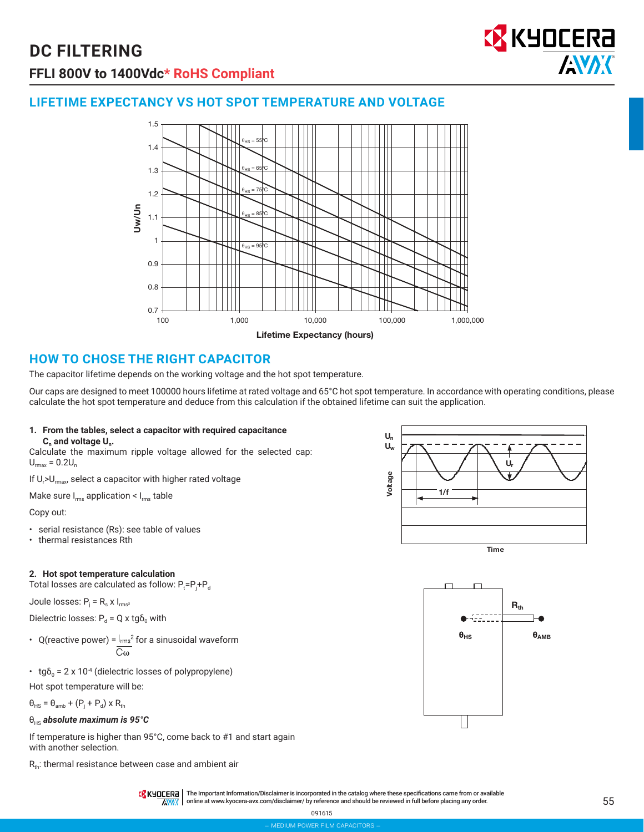

# **LIFETIME EXPECTANCY VS HOT SPOT TEMPERATURE AND VOLTAGE**



## **HOW TO CHOSE THE RIGHT CAPACITOR**

The capacitor lifetime depends on the working voltage and the hot spot temperature.

Our caps are designed to meet 100000 hours lifetime at rated voltage and 65°C hot spot temperature. In accordance with operating conditions, please calculate the hot spot temperature and deduce from this calculation if the obtained lifetime can suit the application.

# **1. From the tables, select a capacitor with required capacitance**

**C.** and voltage U<sub>n</sub>.

Calculate the maximum ripple voltage allowed for the selected cap:  $U_{\text{max}} = 0.2U_{n}$ 

If U<sub>r</sub>>U<sub>rmax</sub>, select a capacitor with higher rated voltage

Make sure  $I_{rms}$  application <  $I_{rms}$  table

Copy out:

- serial resistance (Rs): see table of values
- thermal resistances Rth

#### **2. Hot spot temperature calculation**

Total losses are calculated as follow:  $\mathsf{P}_{\mathsf{t}}\texttt{=} \mathsf{P}_{\mathsf{j}}\texttt{+}\mathsf{P}_{\mathsf{d}}$ 

Joule losses:  $P_i = R_s \times I_{rms^2}$ 

Dielectric losses:  $P_d = Q \times \text{tg} \delta_0$  with

- Q(reactive power) =  $\frac{I_{\text{rms}}^2}{C\omega}$  for a sinusoidal waveform
- tg $\delta_0$  = 2 x 10<sup>-4</sup> (dielectric losses of polypropylene)

Hot spot temperature will be:

 $\theta_{\text{HS}} = \theta_{\text{amb}} + (P_{\text{j}} + P_{\text{d}}) \times R_{\text{th}}$ 

#### θHS *absolute maximum is 95°C*

If temperature is higher than 95°C, come back to #1 and start again with another selection.

 $R<sub>th</sub>$ : thermal resistance between case and ambient air





**TA KHOCERE** | The Important Information/Disclaimer is incorporated in the catalog where these specifications came from or available AVAX online at www.kyocera-avx.com/disclaimer/ by reference and should be reviewed in full before placing any order.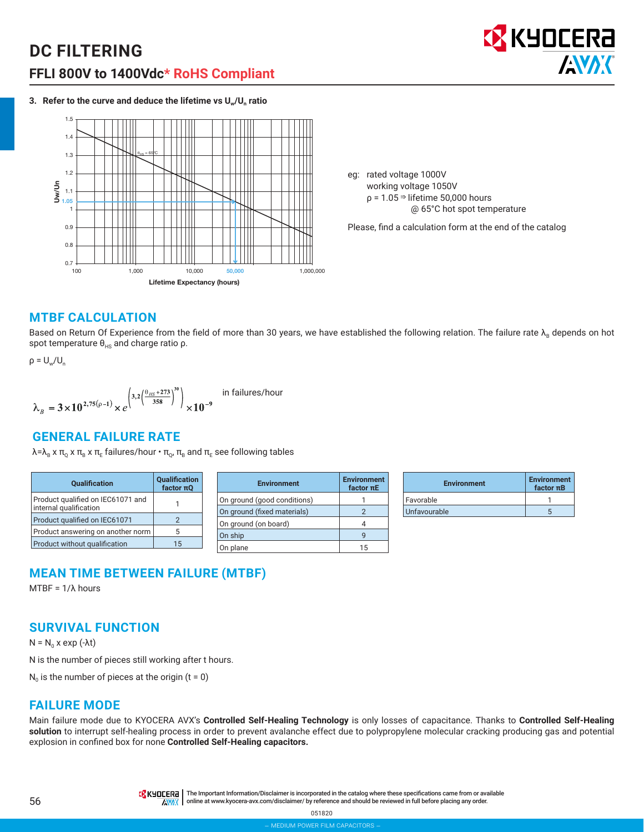

**3. Refer to the curve and deduce the lifetime vs Uw/Un ratio**



eg: rated voltage 1000V working voltage 1050V  $p = 1.05 \Rightarrow$  lifetime 50,000 hours @ 65°C hot spot temperature

Please, find a calculation form at the end of the catalog

#### **MTBF CALCULATION**

Based on Return Of Experience from the field of more than 30 years, we have established the following relation. The failure rate  $\lambda_B$  depends on hot spot temperature  $\theta_{HS}$  and charge ratio ρ.

$$
\rho = U_w/U_n
$$

$$
\lambda_{B} = 3 \times 10^{2,75(\rho-1)} \times e^{\left(3,2\left(\frac{\theta_{HS}+273}{358}\right)^{30}\right)} \times 10^{-9}
$$
 in failures/hour

## **GENERAL FAILURE RATE**

 $\lambda = \lambda_B$  x π<sub>ο</sub> x π<sub>B</sub> x π<sub>E</sub> failures/hour • π<sub>ο</sub>, π<sub>B</sub> and π<sub>E</sub> see following tables

| <b>Oualification</b>                                        | Qualification<br>factor $πQ$ |
|-------------------------------------------------------------|------------------------------|
| Product qualified on IEC61071 and<br>internal qualification |                              |
| Product qualified on IEC61071                               | 2                            |
| Product answering on another norm                           | 5                            |
| Product without qualification                               | 15                           |

| <b>Environment</b>          | <b>Environment</b><br>$factor \pi E$ |
|-----------------------------|--------------------------------------|
| On ground (good conditions) |                                      |
| On ground (fixed materials) |                                      |
| On ground (on board)        |                                      |
| On ship                     |                                      |
| On plane                    | ŀ                                    |

| <b>Environment</b> | <b>Environment</b><br>$factor$ π $B$ |  |
|--------------------|--------------------------------------|--|
| Favorable          |                                      |  |
| Unfavourable       |                                      |  |

## **MEAN TIME BETWEEN FAILURE (MTBF)**

MTBF = 1/λ hours

## **SURVIVAL FUNCTION**

 $N = N_0$  x exp (-λt)

N is the number of pieces still working after t hours.

 $N_0$  is the number of pieces at the origin (t = 0)

#### **FAILURE MODE**

Main failure mode due to KYOCERA AVX's **Controlled Self-Healing Technology** is only losses of capacitance. Thanks to **Controlled Self-Healing solution** to interrupt self-healing process in order to prevent avalanche effect due to polypropylene molecular cracking producing gas and potential explosion in confined box for none **Controlled Self-Healing capacitors.**

TRK HULLERA | The Important Information/Disclaimer is incorporated in the catalog where these specifications came from or available AVAX online at www.kyocera-avx.com/disclaimer/ by reference and should be reviewed in full before placing any order.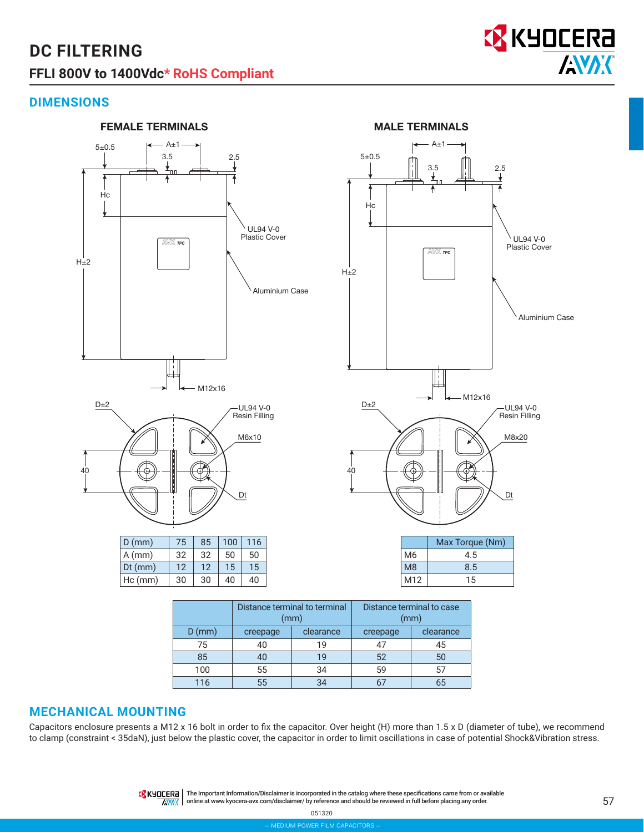

Aluminium Case

## **DIMENSIONS**



|          | Distance terminal to terminal<br>(mm) |           | Distance terminal to case<br>(mm) |           |
|----------|---------------------------------------|-----------|-----------------------------------|-----------|
| $D$ (mm) | creepage                              | clearance | creepage                          | clearance |
| 75       | 40                                    | 19        |                                   | 45        |
| 85       | 40                                    | 19        | 52                                | 50        |
| 100      | 55                                    | 34        | 59                                |           |
| 116      | 55                                    |           |                                   |           |

#### **MECHANICAL MOUNTING**

Capacitors enclosure presents a M12 x 16 bolt in order to fix the capacitor. Over height (H) more than 1.5 x D (diameter of tube), we recommend to clamp (constraint < 35daN), just below the plastic cover, the capacitor in order to limit oscillations in case of potential Shock&Vibration stress.

> **TA KHOCERE** | The Important Information/Disclaimer is incorporated in the catalog where these specifications came from or available **AVAX** online at www.kyocera-avx.com/disclaimer/ by reference and should be reviewed in full before placing any order.

> > 051320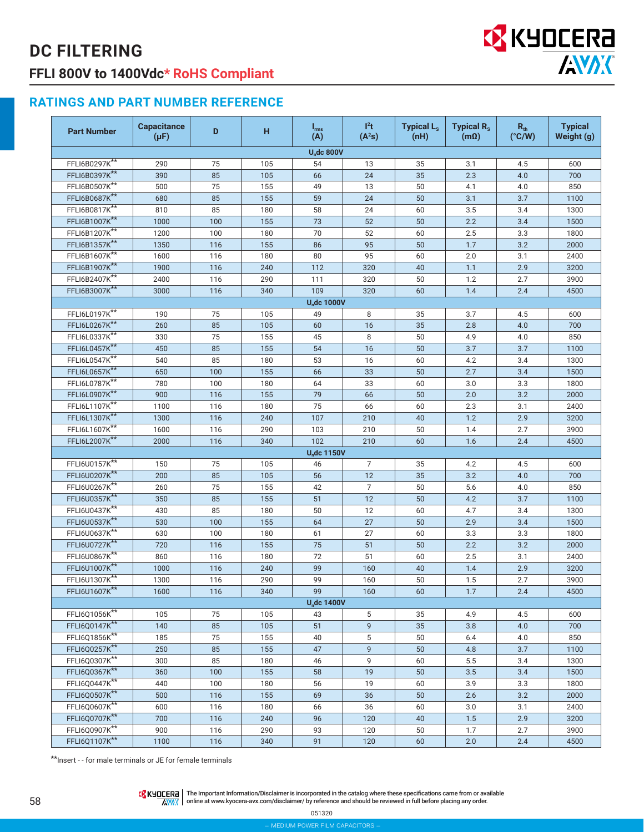

## **RATINGS AND PART NUMBER REFERENCE**

| <b>Part Number</b> | <b>Capacitance</b><br>$(\mu F)$ | D   | н   | $I_{\rm rms}$<br>(A)               | $l^2t$<br>(A <sup>2</sup> S) | <b>Typical L<sub>s</sub></b><br>(nH) | <b>Typical R<sub>s</sub></b><br>$(m\Omega)$ | $R_{th}$<br>$(^{\circ}C/W)$ | <b>Typical</b><br>Weight (g) |
|--------------------|---------------------------------|-----|-----|------------------------------------|------------------------------|--------------------------------------|---------------------------------------------|-----------------------------|------------------------------|
|                    |                                 |     |     | <b>U<sub>n</sub>dc 800V</b>        |                              |                                      |                                             |                             |                              |
| FFLI6B0297K**      | 290                             | 75  | 105 | 54                                 | 13                           | 35                                   | 3.1                                         | 4.5                         | 600                          |
| FFLI6B0397K**      | 390                             | 85  | 105 | 66                                 | 24                           | 35                                   | 2.3                                         | 4.0                         | 700                          |
| FFLI6B0507K**      | 500                             | 75  | 155 | 49                                 | 13                           | 50                                   | 4.1                                         | 4.0                         | 850                          |
| FFLI6B0687K**      | 680                             | 85  | 155 | 59                                 | 24                           | 50                                   | 3.1                                         | 3.7                         | 1100                         |
| FFLI6B0817K**      | 810                             | 85  | 180 | 58                                 | 24                           | 60                                   | 3.5                                         | 3.4                         | 1300                         |
| FFLI6B1007K**      | 1000                            | 100 | 155 | 73                                 | 52                           | 50                                   | 2.2                                         | 3.4                         | 1500                         |
| FFLI6B1207K**      | 1200                            | 100 | 180 | 70                                 | 52                           | 60                                   | 2.5                                         | 3.3                         | 1800                         |
| FFLI6B1357K**      | 1350                            | 116 | 155 | 86                                 | 95                           | 50                                   | 1.7                                         | 3.2                         | 2000                         |
| FFLI6B1607K**      | 1600                            | 116 | 180 | 80                                 | 95                           | 60                                   | 2.0                                         | 3.1                         | 2400                         |
| FFLI6B1907K**      | 1900                            | 116 | 240 | 112                                | 320                          | 40                                   | 1.1                                         | 2.9                         | 3200                         |
| FFLI6B2407K**      | 2400                            | 116 | 290 | 111                                | 320                          | 50                                   | 1.2                                         | 2.7                         | 3900                         |
| FFLI6B3007K**      | 3000                            | 116 | 340 | 109                                | 320                          | 60                                   | 1.4                                         | 2.4                         | 4500                         |
|                    |                                 |     |     | <b>U<sub>n</sub>dc 1000V</b>       |                              |                                      |                                             |                             |                              |
| FFLI6L0197K**      | 190                             | 75  | 105 | 49                                 | 8                            | 35                                   | 3.7                                         | 4.5                         | 600                          |
| FFLI6L0267K**      | 260                             | 85  | 105 | 60                                 | 16                           | 35                                   | 2.8                                         | 4.0                         | 700                          |
| FFLI6L0337K**      | 330                             | 75  | 155 | 45                                 | 8                            | 50                                   | 4.9                                         | 4.0                         | 850                          |
| FFLI6L0457K**      | 450                             | 85  | 155 | 54                                 | 16                           | 50                                   | 3.7                                         | 3.7                         | 1100                         |
| FFLI6L0547K**      | 540                             | 85  | 180 | 53                                 | 16                           | 60                                   | 4.2                                         | 3.4                         | 1300                         |
| FFLI6L0657K**      | 650                             | 100 | 155 | 66                                 | 33                           | 50                                   | 2.7                                         | 3.4                         | 1500                         |
| FFLI6L0787K**      | 780                             | 100 | 180 | 64                                 | 33                           | 60                                   | 3.0                                         | 3.3                         | 1800                         |
| FFLI6L0907K**      | 900                             | 116 | 155 | 79                                 | 66                           | 50                                   | 2.0                                         | 3.2                         | 2000                         |
| FFLI6L1107K**      | 1100                            | 116 | 180 | 75                                 | 66                           | 60                                   | 2.3                                         | 3.1                         | 2400                         |
| FFLI6L1307K**      | 1300                            | 116 | 240 | 107                                | 210                          | 40                                   | 1.2                                         | 2.9                         | 3200                         |
| FFLI6L1607K**      | 1600                            | 116 | 290 | 103                                | 210                          | 50                                   | 1.4                                         | 2.7                         | 3900                         |
| FFLI6L2007K**      | 2000                            | 116 | 340 | 102                                | 210                          | 60                                   | 1.6                                         | 2.4                         | 4500                         |
|                    |                                 |     |     | <b>U<sub>n</sub>dc 1150V</b>       |                              |                                      |                                             |                             |                              |
| FFLI6U0157K**      | 150                             | 75  | 105 | 46                                 | $\overline{7}$               | 35                                   | 4.2                                         | 4.5                         | 600                          |
| FFLI6U0207K**      | 200                             | 85  | 105 | 56                                 | 12                           | 35                                   | 3.2                                         | 4.0                         | 700                          |
| FFLI6U0267K**      | 260                             | 75  | 155 | 42                                 | $\overline{7}$               | 50                                   | 5.6                                         | 4.0                         | 850                          |
| FFLI6U0357K**      | 350                             | 85  | 155 | 51                                 | 12                           | 50                                   | 4.2                                         | 3.7                         | 1100                         |
| FFLI6U0437K**      | 430                             | 85  | 180 | 50                                 | 12                           | 60                                   | 4.7                                         | 3.4                         | 1300                         |
| FFLI6U0537K**      | 530                             | 100 | 155 | 64                                 | 27                           | 50                                   | 2.9                                         | 3.4                         | 1500                         |
| FFLI6U0637K**      | 630                             | 100 | 180 | 61                                 | 27                           | 60                                   | 3.3                                         | 3.3                         | 1800                         |
| FFLI6U0727K**      | 720                             | 116 | 155 | 75                                 | 51                           | 50                                   | 2.2                                         | 3.2                         | 2000                         |
| FFLI6U0867K**      | 860                             | 116 | 180 | 72                                 | 51                           | 60                                   | 2.5                                         | 3.1                         | 2400                         |
| FFLI6U1007K**      | 1000                            | 116 | 240 | 99                                 | 160                          | 40                                   | 1.4                                         | 2.9                         | 3200                         |
| FFLI6U1307K**      | 1300                            | 116 | 290 | 99                                 | 160                          | 50                                   | 1.5                                         | 2.7                         | 3900                         |
| FFLI6U1607K**      | 1600                            | 116 | 340 | 99                                 | 160                          | 60                                   | 1.7                                         | 2.4                         | 4500                         |
| FFLI6Q1056K**      | 105                             | 75  | 105 | <b>U<sub>n</sub>dc 1400V</b><br>43 | 5                            | 35                                   | 4.9                                         | 4.5                         | 600                          |
| FFLI6Q0147K**      | 140                             | 85  | 105 | 51                                 | $\mathsf g$                  | 35                                   | 3.8                                         | 4.0                         | 700                          |
| FFLI6Q1856K**      | 185                             | 75  | 155 | 40                                 | 5                            | 50                                   | 6.4                                         | 4.0                         | 850                          |
| FFLI6Q0257K**      | 250                             | 85  | 155 | 47                                 | 9                            | 50                                   | 4.8                                         | 3.7                         | 1100                         |
| FFLI6Q0307K**      | 300                             | 85  | 180 | 46                                 | 9                            | 60                                   | 5.5                                         | 3.4                         | 1300                         |
| FFLI6Q0367K**      | 360                             | 100 | 155 | 58                                 | 19                           | 50                                   | 3.5                                         | 3.4                         | 1500                         |
| FFLI6Q0447K**      | 440                             | 100 | 180 | 56                                 | 19                           | 60                                   | 3.9                                         | 3.3                         | 1800                         |
| FFLI6Q0507K**      | 500                             | 116 | 155 | 69                                 | 36                           | 50                                   | 2.6                                         | 3.2                         | 2000                         |
| FFLI6Q0607K**      | 600                             | 116 | 180 | 66                                 | 36                           | 60                                   | 3.0                                         | 3.1                         | 2400                         |
| FFLI6Q0707K**      | 700                             | 116 | 240 | 96                                 | 120                          | 40                                   | 1.5                                         | 2.9                         | 3200                         |
| FFLI6Q0907K**      | 900                             | 116 | 290 | 93                                 | 120                          | 50                                   | 1.7                                         | 2.7                         | 3900                         |
| FFLI6Q1107K**      | 1100                            | 116 | 340 | 91                                 | 120                          | 60                                   | 2.0                                         | 2.4                         | 4500                         |
|                    |                                 |     |     |                                    |                              |                                      |                                             |                             |                              |

\*\*Insert - - for male terminals or JE for female terminals

The Important Information/Disclaimer is incorporated in the catalog where these specifications came from or available<br>online at www.kyocera-avx.com/disclaimer/ by reference and should be reviewed in full before placing any